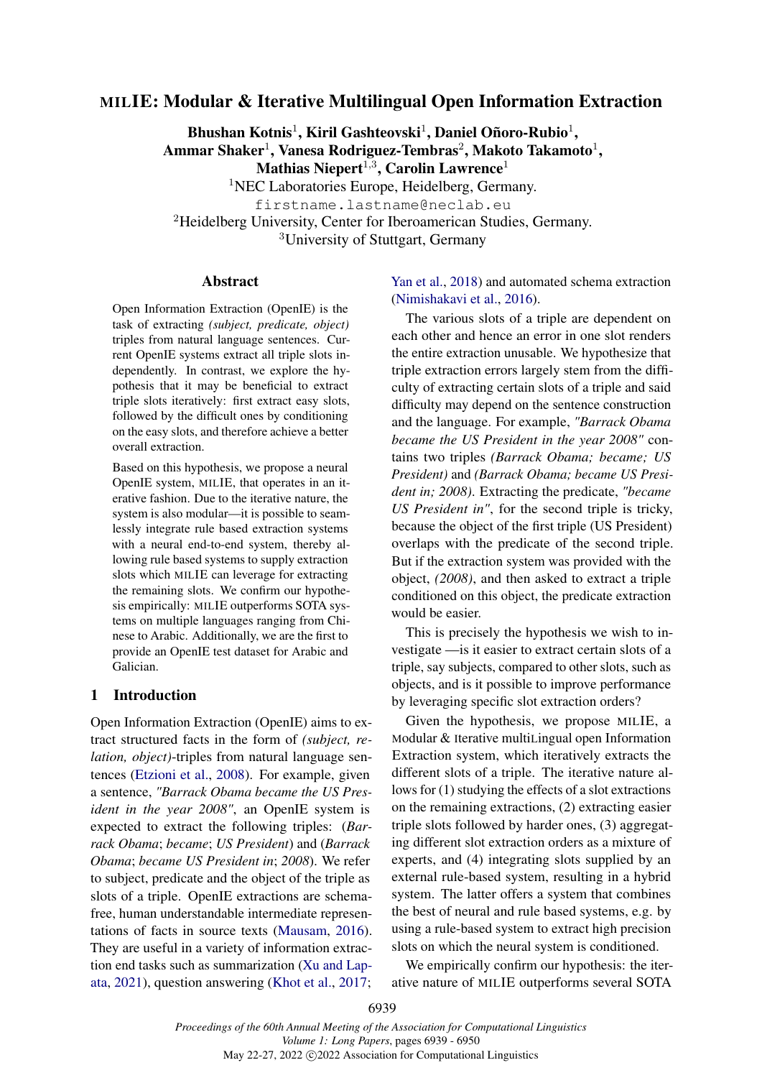# MILIE: Modular & Iterative Multilingual Open Information Extraction

Bhushan Kotnis<sup>1</sup>, Kiril Gashteovski<sup>1</sup>, Daniel Oñoro-Rubio<sup>1</sup>, Ammar Shaker $^1$ , Vanesa Rodriguez-Tembras $^2$ , Makoto Takamoto $^1,$ Mathias Niepert<sup>1,3</sup>, Carolin Lawrence<sup>1</sup>

<sup>1</sup>NEC Laboratories Europe, Heidelberg, Germany. firstname.lastname@neclab.eu <sup>2</sup>Heidelberg University, Center for Iberoamerican Studies, Germany. <sup>3</sup>University of Stuttgart, Germany

#### Abstract

Open Information Extraction (OpenIE) is the task of extracting *(subject, predicate, object)* triples from natural language sentences. Current OpenIE systems extract all triple slots independently. In contrast, we explore the hypothesis that it may be beneficial to extract triple slots iteratively: first extract easy slots, followed by the difficult ones by conditioning on the easy slots, and therefore achieve a better overall extraction.

Based on this hypothesis, we propose a neural OpenIE system, MILIE, that operates in an iterative fashion. Due to the iterative nature, the system is also modular—it is possible to seamlessly integrate rule based extraction systems with a neural end-to-end system, thereby allowing rule based systems to supply extraction slots which MILIE can leverage for extracting the remaining slots. We confirm our hypothesis empirically: MILIE outperforms SOTA systems on multiple languages ranging from Chinese to Arabic. Additionally, we are the first to provide an OpenIE test dataset for Arabic and Galician.

## 1 Introduction

Open Information Extraction (OpenIE) aims to extract structured facts in the form of *(subject, relation, object)*-triples from natural language sentences [\(Etzioni et al.,](#page-8-0) [2008\)](#page-8-0). For example, given a sentence, *"Barrack Obama became the US President in the year 2008"*, an OpenIE system is expected to extract the following triples: (*Barrack Obama*; *became*; *US President*) and (*Barrack Obama*; *became US President in*; *2008*). We refer to subject, predicate and the object of the triple as slots of a triple. OpenIE extractions are schemafree, human understandable intermediate representations of facts in source texts [\(Mausam,](#page-9-0) [2016\)](#page-9-0). They are useful in a variety of information extraction end tasks such as summarization [\(Xu and Lap](#page-9-1)[ata,](#page-9-1) [2021\)](#page-9-1), question answering [\(Khot et al.,](#page-8-1) [2017;](#page-8-1) [Yan et al.,](#page-9-2) [2018\)](#page-9-2) and automated schema extraction [\(Nimishakavi et al.,](#page-9-3) [2016\)](#page-9-3).

The various slots of a triple are dependent on each other and hence an error in one slot renders the entire extraction unusable. We hypothesize that triple extraction errors largely stem from the difficulty of extracting certain slots of a triple and said difficulty may depend on the sentence construction and the language. For example, *"Barrack Obama became the US President in the year 2008"* contains two triples *(Barrack Obama; became; US President)* and *(Barrack Obama; became US President in; 2008)*. Extracting the predicate, *"became US President in"*, for the second triple is tricky, because the object of the first triple (US President) overlaps with the predicate of the second triple. But if the extraction system was provided with the object, *(2008)*, and then asked to extract a triple conditioned on this object, the predicate extraction would be easier.

This is precisely the hypothesis we wish to investigate —is it easier to extract certain slots of a triple, say subjects, compared to other slots, such as objects, and is it possible to improve performance by leveraging specific slot extraction orders?

Given the hypothesis, we propose MILIE, a Modular & Iterative multiLingual open Information Extraction system, which iteratively extracts the different slots of a triple. The iterative nature allows for (1) studying the effects of a slot extractions on the remaining extractions, (2) extracting easier triple slots followed by harder ones, (3) aggregating different slot extraction orders as a mixture of experts, and (4) integrating slots supplied by an external rule-based system, resulting in a hybrid system. The latter offers a system that combines the best of neural and rule based systems, e.g. by using a rule-based system to extract high precision slots on which the neural system is conditioned.

We empirically confirm our hypothesis: the iterative nature of MILIE outperforms several SOTA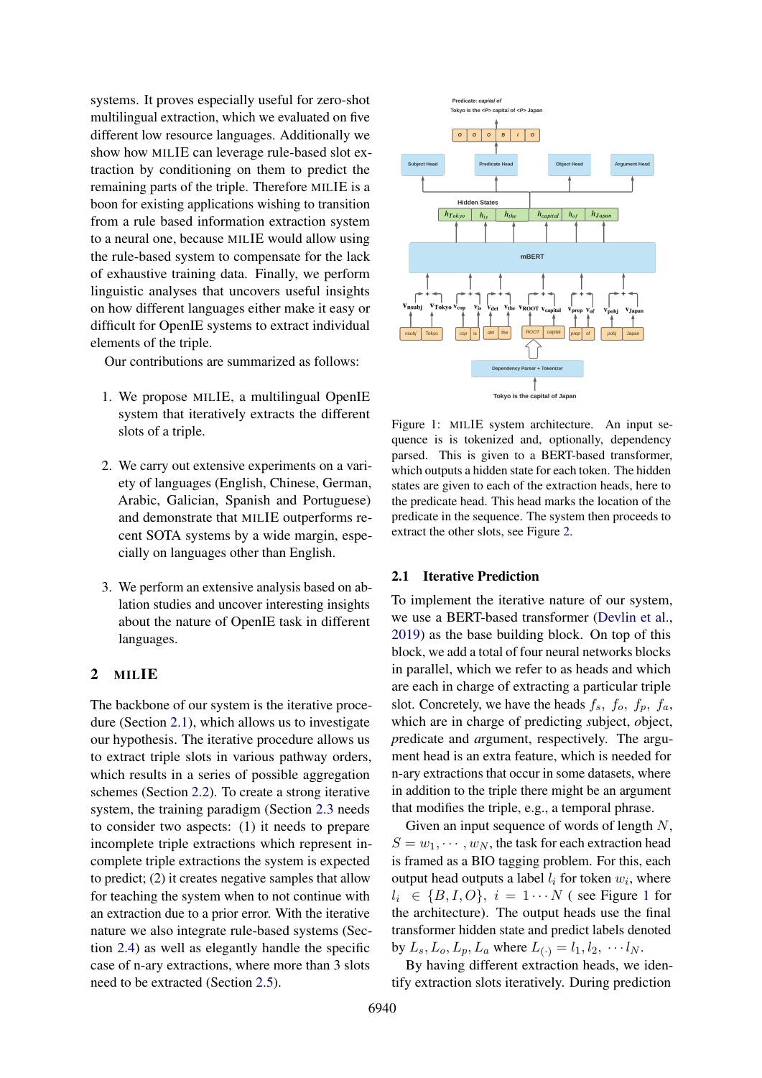systems. It proves especially useful for zero-shot multilingual extraction, which we evaluated on five different low resource languages. Additionally we show how MILIE can leverage rule-based slot extraction by conditioning on them to predict the remaining parts of the triple. Therefore MILIE is a boon for existing applications wishing to transition from a rule based information extraction system to a neural one, because MILIE would allow using the rule-based system to compensate for the lack of exhaustive training data. Finally, we perform linguistic analyses that uncovers useful insights on how different languages either make it easy or difficult for OpenIE systems to extract individual elements of the triple.

Our contributions are summarized as follows:

- 1. We propose MILIE, a multilingual OpenIE system that iteratively extracts the different slots of a triple.
- 2. We carry out extensive experiments on a variety of languages (English, Chinese, German, Arabic, Galician, Spanish and Portuguese) and demonstrate that MILIE outperforms recent SOTA systems by a wide margin, especially on languages other than English.
- 3. We perform an extensive analysis based on ablation studies and uncover interesting insights about the nature of OpenIE task in different languages.

## 2 MILIE

The backbone of our system is the iterative procedure (Section [2.1\)](#page-1-0), which allows us to investigate our hypothesis. The iterative procedure allows us to extract triple slots in various pathway orders, which results in a series of possible aggregation schemes (Section [2.2\)](#page-2-0). To create a strong iterative system, the training paradigm (Section [2.3](#page-3-0) needs to consider two aspects: (1) it needs to prepare incomplete triple extractions which represent incomplete triple extractions the system is expected to predict; (2) it creates negative samples that allow for teaching the system when to not continue with an extraction due to a prior error. With the iterative nature we also integrate rule-based systems (Section [2.4\)](#page-3-1) as well as elegantly handle the specific case of n-ary extractions, where more than 3 slots need to be extracted (Section [2.5\)](#page-3-2).

<span id="page-1-1"></span>

Figure 1: MILIE system architecture. An input sequence is is tokenized and, optionally, dependency parsed. This is given to a BERT-based transformer, which outputs a hidden state for each token. The hidden states are given to each of the extraction heads, here to the predicate head. This head marks the location of the predicate in the sequence. The system then proceeds to extract the other slots, see Figure [2.](#page-2-1)

## <span id="page-1-0"></span>2.1 Iterative Prediction

To implement the iterative nature of our system, we use a BERT-based transformer [\(Devlin et al.,](#page-8-2) [2019\)](#page-8-2) as the base building block. On top of this block, we add a total of four neural networks blocks in parallel, which we refer to as heads and which are each in charge of extracting a particular triple slot. Concretely, we have the heads  $f_s$ ,  $f_o$ ,  $f_p$ ,  $f_a$ , which are in charge of predicting *s*ubject, *o*bject, *p*redicate and *a*rgument, respectively. The argument head is an extra feature, which is needed for n-ary extractions that occur in some datasets, where in addition to the triple there might be an argument that modifies the triple, e.g., a temporal phrase.

Given an input sequence of words of length  $N$ ,  $S = w_1, \dots, w_N$ , the task for each extraction head is framed as a BIO tagging problem. For this, each output head outputs a label  $l_i$  for token  $w_i$ , where  $l_i \in \{B, I, O\}, i = 1 \cdots N$  $l_i \in \{B, I, O\}, i = 1 \cdots N$  $l_i \in \{B, I, O\}, i = 1 \cdots N$  (see Figure 1 for the architecture). The output heads use the final transformer hidden state and predict labels denoted by  $L_s, L_o, L_p, L_a$  where  $L_{(.)} = l_1, l_2, \cdots l_N$ .

By having different extraction heads, we identify extraction slots iteratively. During prediction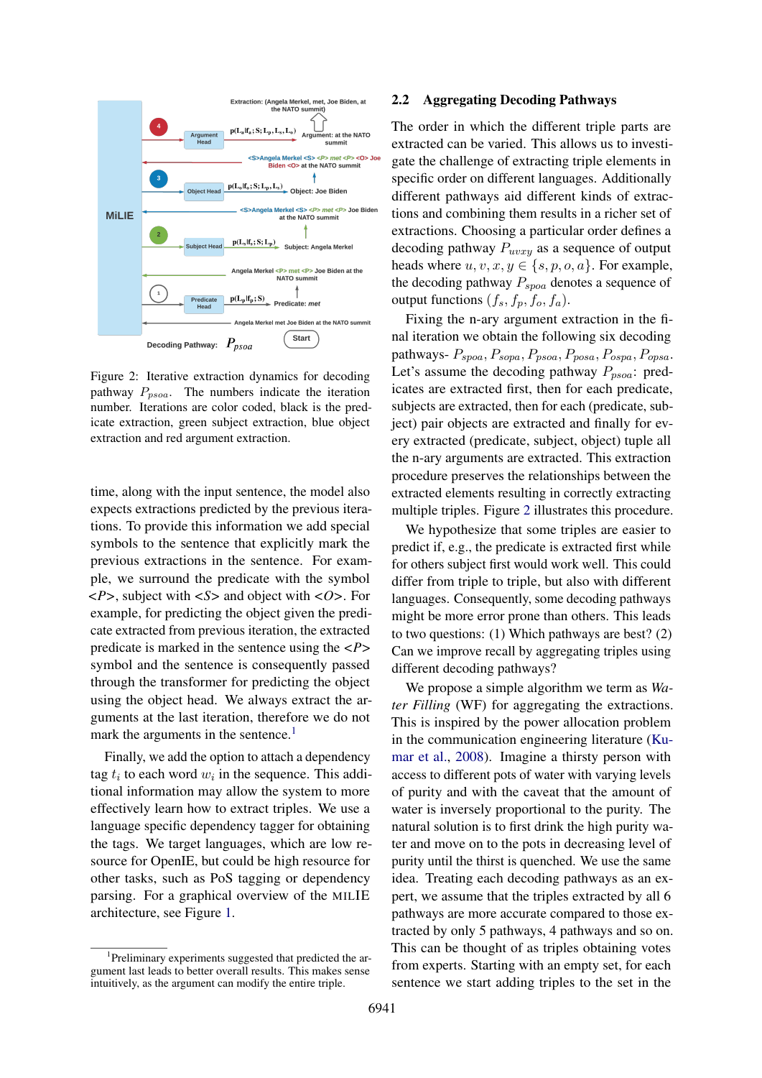<span id="page-2-1"></span>

Figure 2: Iterative extraction dynamics for decoding pathway  $P_{psoa}$ . The numbers indicate the iteration number. Iterations are color coded, black is the predicate extraction, green subject extraction, blue object extraction and red argument extraction.

time, along with the input sentence, the model also expects extractions predicted by the previous iterations. To provide this information we add special symbols to the sentence that explicitly mark the previous extractions in the sentence. For example, we surround the predicate with the symbol *<P>*, subject with *<S>* and object with *<O>*. For example, for predicting the object given the predicate extracted from previous iteration, the extracted predicate is marked in the sentence using the *<P>* symbol and the sentence is consequently passed through the transformer for predicting the object using the object head. We always extract the arguments at the last iteration, therefore we do not mark the arguments in the sentence. $<sup>1</sup>$  $<sup>1</sup>$  $<sup>1</sup>$ </sup>

Finally, we add the option to attach a dependency tag  $t_i$  to each word  $w_i$  in the sequence. This additional information may allow the system to more effectively learn how to extract triples. We use a language specific dependency tagger for obtaining the tags. We target languages, which are low resource for OpenIE, but could be high resource for other tasks, such as PoS tagging or dependency parsing. For a graphical overview of the MILIE architecture, see Figure [1.](#page-1-1)

#### <span id="page-2-0"></span>2.2 Aggregating Decoding Pathways

The order in which the different triple parts are extracted can be varied. This allows us to investigate the challenge of extracting triple elements in specific order on different languages. Additionally different pathways aid different kinds of extractions and combining them results in a richer set of extractions. Choosing a particular order defines a decoding pathway  $P_{uvxy}$  as a sequence of output heads where  $u, v, x, y \in \{s, p, o, a\}$ . For example, the decoding pathway  $P_{\text{spoa}}$  denotes a sequence of output functions  $(f_s, f_p, f_o, f_a)$ .

Fixing the n-ary argument extraction in the final iteration we obtain the following six decoding pathways-  $P_{spoa}, P_{sopa}, P_{psoa}, P_{posa}, P_{ospa}, P_{opsa}.$ Let's assume the decoding pathway  $P_{psoa}$ : predicates are extracted first, then for each predicate, subjects are extracted, then for each (predicate, subject) pair objects are extracted and finally for every extracted (predicate, subject, object) tuple all the n-ary arguments are extracted. This extraction procedure preserves the relationships between the extracted elements resulting in correctly extracting multiple triples. Figure [2](#page-2-1) illustrates this procedure.

We hypothesize that some triples are easier to predict if, e.g., the predicate is extracted first while for others subject first would work well. This could differ from triple to triple, but also with different languages. Consequently, some decoding pathways might be more error prone than others. This leads to two questions: (1) Which pathways are best? (2) Can we improve recall by aggregating triples using different decoding pathways?

We propose a simple algorithm we term as *Water Filling* (WF) for aggregating the extractions. This is inspired by the power allocation problem in the communication engineering literature [\(Ku](#page-9-4)[mar et al.,](#page-9-4) [2008\)](#page-9-4). Imagine a thirsty person with access to different pots of water with varying levels of purity and with the caveat that the amount of water is inversely proportional to the purity. The natural solution is to first drink the high purity water and move on to the pots in decreasing level of purity until the thirst is quenched. We use the same idea. Treating each decoding pathways as an expert, we assume that the triples extracted by all 6 pathways are more accurate compared to those extracted by only 5 pathways, 4 pathways and so on. This can be thought of as triples obtaining votes from experts. Starting with an empty set, for each sentence we start adding triples to the set in the

<span id="page-2-2"></span><sup>&</sup>lt;sup>1</sup>Preliminary experiments suggested that predicted the argument last leads to better overall results. This makes sense intuitively, as the argument can modify the entire triple.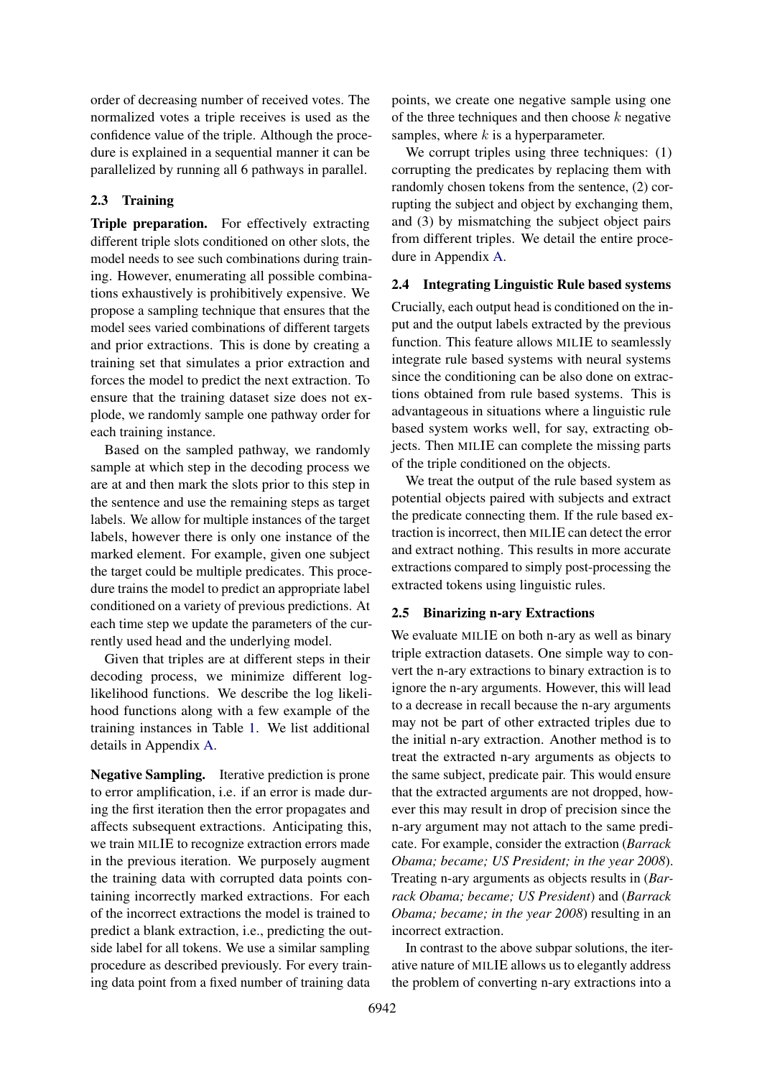order of decreasing number of received votes. The normalized votes a triple receives is used as the confidence value of the triple. Although the procedure is explained in a sequential manner it can be parallelized by running all 6 pathways in parallel.

# <span id="page-3-0"></span>2.3 Training

Triple preparation. For effectively extracting different triple slots conditioned on other slots, the model needs to see such combinations during training. However, enumerating all possible combinations exhaustively is prohibitively expensive. We propose a sampling technique that ensures that the model sees varied combinations of different targets and prior extractions. This is done by creating a training set that simulates a prior extraction and forces the model to predict the next extraction. To ensure that the training dataset size does not explode, we randomly sample one pathway order for each training instance.

Based on the sampled pathway, we randomly sample at which step in the decoding process we are at and then mark the slots prior to this step in the sentence and use the remaining steps as target labels. We allow for multiple instances of the target labels, however there is only one instance of the marked element. For example, given one subject the target could be multiple predicates. This procedure trains the model to predict an appropriate label conditioned on a variety of previous predictions. At each time step we update the parameters of the currently used head and the underlying model.

Given that triples are at different steps in their decoding process, we minimize different loglikelihood functions. We describe the log likelihood functions along with a few example of the training instances in Table [1.](#page-4-0) We list additional details in Appendix [A.](#page-9-5)

Negative Sampling. Iterative prediction is prone to error amplification, i.e. if an error is made during the first iteration then the error propagates and affects subsequent extractions. Anticipating this, we train MILIE to recognize extraction errors made in the previous iteration. We purposely augment the training data with corrupted data points containing incorrectly marked extractions. For each of the incorrect extractions the model is trained to predict a blank extraction, i.e., predicting the outside label for all tokens. We use a similar sampling procedure as described previously. For every training data point from a fixed number of training data

points, we create one negative sample using one of the three techniques and then choose  $k$  negative samples, where  $k$  is a hyperparameter.

We corrupt triples using three techniques:  $(1)$ corrupting the predicates by replacing them with randomly chosen tokens from the sentence, (2) corrupting the subject and object by exchanging them, and (3) by mismatching the subject object pairs from different triples. We detail the entire procedure in Appendix [A.](#page-9-5)

### <span id="page-3-1"></span>2.4 Integrating Linguistic Rule based systems

Crucially, each output head is conditioned on the input and the output labels extracted by the previous function. This feature allows MILIE to seamlessly integrate rule based systems with neural systems since the conditioning can be also done on extractions obtained from rule based systems. This is advantageous in situations where a linguistic rule based system works well, for say, extracting objects. Then MILIE can complete the missing parts of the triple conditioned on the objects.

We treat the output of the rule based system as potential objects paired with subjects and extract the predicate connecting them. If the rule based extraction is incorrect, then MILIE can detect the error and extract nothing. This results in more accurate extractions compared to simply post-processing the extracted tokens using linguistic rules.

#### <span id="page-3-2"></span>2.5 Binarizing n-ary Extractions

We evaluate MILIE on both n-ary as well as binary triple extraction datasets. One simple way to convert the n-ary extractions to binary extraction is to ignore the n-ary arguments. However, this will lead to a decrease in recall because the n-ary arguments may not be part of other extracted triples due to the initial n-ary extraction. Another method is to treat the extracted n-ary arguments as objects to the same subject, predicate pair. This would ensure that the extracted arguments are not dropped, however this may result in drop of precision since the n-ary argument may not attach to the same predicate. For example, consider the extraction (*Barrack Obama; became; US President; in the year 2008*). Treating n-ary arguments as objects results in (*Barrack Obama; became; US President*) and (*Barrack Obama; became; in the year 2008*) resulting in an incorrect extraction.

In contrast to the above subpar solutions, the iterative nature of MILIE allows us to elegantly address the problem of converting n-ary extractions into a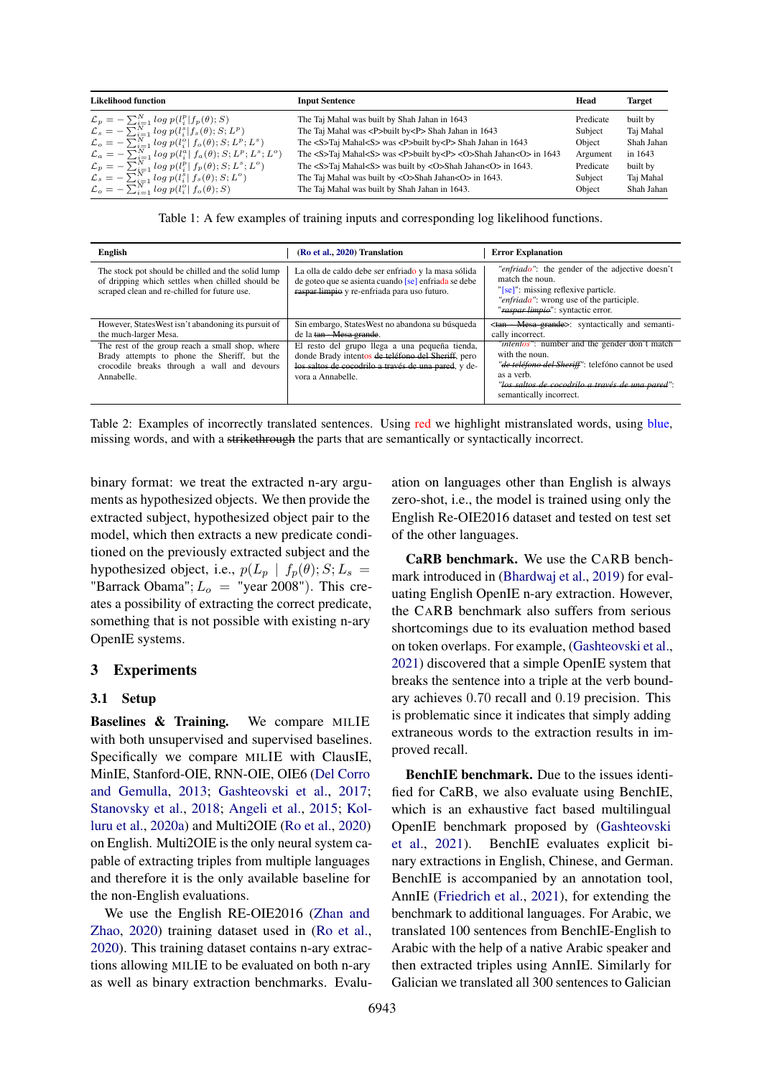<span id="page-4-0"></span>

| <b>Likelihood function</b>                                                                                                                   | <b>Input Sentence</b>                                                                                                                     | Head              | <b>Target</b>           |
|----------------------------------------------------------------------------------------------------------------------------------------------|-------------------------------------------------------------------------------------------------------------------------------------------|-------------------|-------------------------|
| $\mathcal{L}_p = -\sum_{i=1}^N log p(l_i^p f_p(\theta);S)$                                                                                   | The Taj Mahal was built by Shah Jahan in 1643                                                                                             | Predicate         | built by                |
| $\mathcal{L}_s = -\sum_{i=1}^N log p(l_i^s f_s(\theta);S;L^p)$<br>$\mathcal{L}_o = -\sum_{i=1}^{N} \log p(l_i^o   f_o(\theta); S; L^p; L^s)$ | The Taj Mahal was <p>built by<p> Shah Jahan in 1643<br/>The <s>Taj Mahal<s> was <p>built by<p> Shah Jahan in 1643</p></p></s></s></p></p> | Subject<br>Object | Taj Mahal<br>Shah Jahan |
| $\mathcal{L}_a = -\sum_{i=1}^{N} \log p(l_i^a   f_a(\theta); S; L^p; L^s; L^o)$                                                              | The <s>Taj Mahal<s> was <p>built by<p><o>Shah Jahan<o> in 1643</o></o></p></p></s></s>                                                    | Argument          | in 1643                 |
| $\mathcal{L}_p = -\sum_{i=1}^N log p(l_i^p   f_p(\theta); S; L^s; L^o)$                                                                      | The <s>Taj Mahal<s> was built by <o>Shah Jahan<o> in 1643.</o></o></s></s>                                                                | Predicate         | built by                |
| $\mathcal{L}_s = -\sum_{i=1}^N log p(l_i^s   f_s(\theta); S; L^o)$                                                                           | The Taj Mahal was built by <0>Shah Jahan<0> in 1643.                                                                                      | Subject           | Taj Mahal               |
| $\mathcal{L}_o = -\sum_{i=1}^N log p(l_i^o   f_o(\theta), S)$                                                                                | The Taj Mahal was built by Shah Jahan in 1643.                                                                                            | Object            | Shah Jahan              |

Table 1: A few examples of training inputs and corresponding log likelihood functions.

<span id="page-4-1"></span>

| English                                                                                                                                                      | (Ro et al., 2020) Translation                                                                                                                                                     | <b>Error Explanation</b>                                                                                                                                                                                                    |
|--------------------------------------------------------------------------------------------------------------------------------------------------------------|-----------------------------------------------------------------------------------------------------------------------------------------------------------------------------------|-----------------------------------------------------------------------------------------------------------------------------------------------------------------------------------------------------------------------------|
| The stock pot should be chilled and the solid lump<br>of dripping which settles when chilled should be<br>scraped clean and re-chilled for future use.       | La olla de caldo debe ser enfriado y la masa sólida<br>de goteo que se asienta cuando [se] enfriada se debe<br>raspar limpio y re-enfriada para uso futuro.                       | "enfriado": the gender of the adjective doesn't<br>match the noun.<br>"[se]": missing reflexive particle.<br>"enfriada": wrong use of the participle.<br>"raspar-limpio": syntactic error.                                  |
| However, States West isn't abandoning its pursuit of<br>the much-larger Mesa.                                                                                | Sin embargo, States West no abandona su búsqueda<br>de la tan - Mesa grande.                                                                                                      | <tan -="" grande="" mesa="">: syntactically and semanti-<br/>cally incorrect.</tan>                                                                                                                                         |
| The rest of the group reach a small shop, where<br>Brady attempts to phone the Sheriff, but the<br>crocodile breaks through a wall and devours<br>Annabelle. | El resto del grupo llega a una pequeña tienda,<br>donde Brady intentos de teléfono del Sheriff, pero<br>los saltos de cocodrilo a través de una pared, y de-<br>vora a Annabelle. | " <i>intentos</i> ": number and the gender don't match<br>with the noun.<br>"de teléfono del Sheriff": telefóno cannot be used<br>as a verb.<br>"los saltos de cocodrilo a través de una pared":<br>semantically incorrect. |

Table 2: Examples of incorrectly translated sentences. Using red we highlight mistranslated words, using blue, missing words, and with a strikethrough the parts that are semantically or syntactically incorrect.

binary format: we treat the extracted n-ary arguments as hypothesized objects. We then provide the extracted subject, hypothesized object pair to the model, which then extracts a new predicate conditioned on the previously extracted subject and the hypothesized object, i.e.,  $p(L_p | f_p(\theta); S; L_s =$ "Barrack Obama";  $L_o$  = "year 2008"). This creates a possibility of extracting the correct predicate, something that is not possible with existing n-ary OpenIE systems.

### 3 Experiments

#### 3.1 Setup

Baselines & Training. We compare MILIE with both unsupervised and supervised baselines. Specifically we compare MILIE with ClausIE, MinIE, Stanford-OIE, RNN-OIE, OIE6 [\(Del Corro](#page-8-3) [and Gemulla,](#page-8-3) [2013;](#page-8-3) [Gashteovski et al.,](#page-8-4) [2017;](#page-8-4) [Stanovsky et al.,](#page-9-7) [2018;](#page-9-7) [Angeli et al.,](#page-8-5) [2015;](#page-8-5) [Kol](#page-8-6)[luru et al.,](#page-8-6) [2020a\)](#page-8-6) and Multi2OIE [\(Ro et al.,](#page-9-6) [2020\)](#page-9-6) on English. Multi2OIE is the only neural system capable of extracting triples from multiple languages and therefore it is the only available baseline for the non-English evaluations.

We use the English RE-OIE2016 [\(Zhan and](#page-9-8) [Zhao,](#page-9-8) [2020\)](#page-9-8) training dataset used in [\(Ro et al.,](#page-9-6) [2020\)](#page-9-6). This training dataset contains n-ary extractions allowing MILIE to be evaluated on both n-ary as well as binary extraction benchmarks. Evaluation on languages other than English is always zero-shot, i.e., the model is trained using only the English Re-OIE2016 dataset and tested on test set of the other languages.

CaRB benchmark. We use the CARB benchmark introduced in [\(Bhardwaj et al.,](#page-8-7) [2019\)](#page-8-7) for evaluating English OpenIE n-ary extraction. However, the CARB benchmark also suffers from serious shortcomings due to its evaluation method based on token overlaps. For example, [\(Gashteovski et al.,](#page-8-8) [2021\)](#page-8-8) discovered that a simple OpenIE system that breaks the sentence into a triple at the verb boundary achieves 0.70 recall and 0.19 precision. This is problematic since it indicates that simply adding extraneous words to the extraction results in improved recall.

BenchIE benchmark. Due to the issues identified for CaRB, we also evaluate using BenchIE, which is an exhaustive fact based multilingual OpenIE benchmark proposed by [\(Gashteovski](#page-8-8) [et al.,](#page-8-8) [2021\)](#page-8-8). BenchIE evaluates explicit binary extractions in English, Chinese, and German. BenchIE is accompanied by an annotation tool, AnnIE [\(Friedrich et al.,](#page-8-9) [2021\)](#page-8-9), for extending the benchmark to additional languages. For Arabic, we translated 100 sentences from BenchIE-English to Arabic with the help of a native Arabic speaker and then extracted triples using AnnIE. Similarly for Galician we translated all 300 sentences to Galician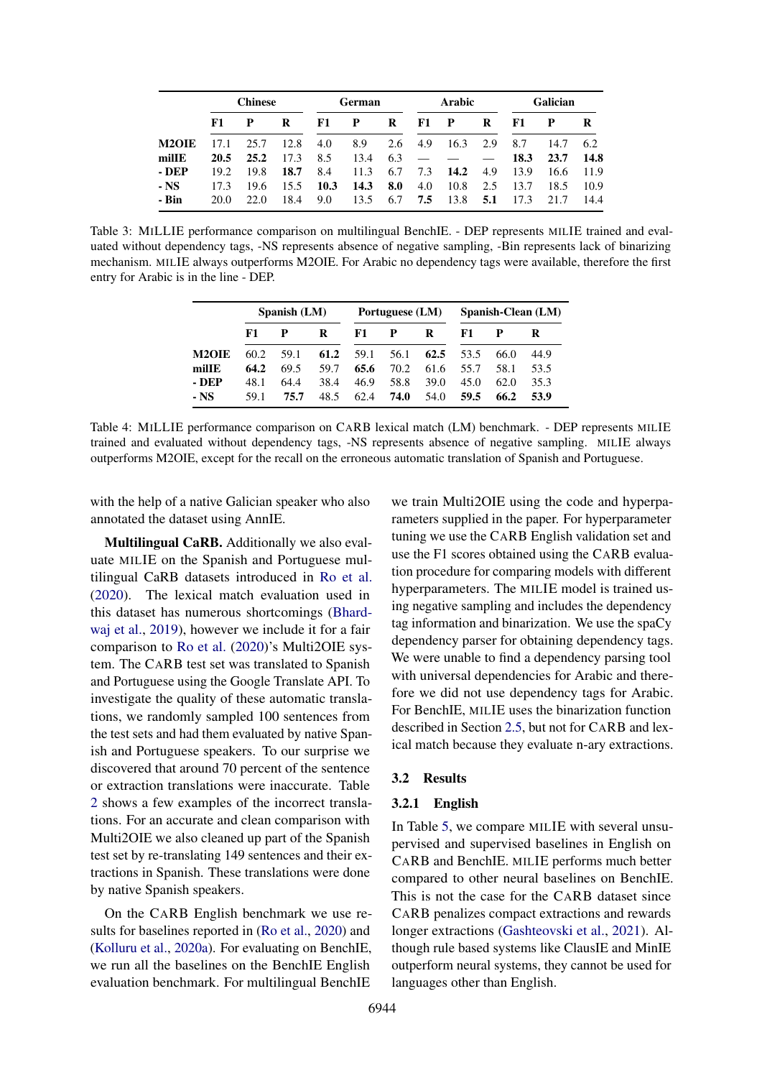<span id="page-5-0"></span>

|              |      | <b>Chinese</b> |      | <b>German</b> |      | <b>Arabic</b> |     | Galician    |     |      |      |      |
|--------------|------|----------------|------|---------------|------|---------------|-----|-------------|-----|------|------|------|
|              | F1   | P              | R    | F1            | P    | R             | F1  | $\mathbf P$ | R   | F1   |      | R    |
| <b>M2OIE</b> | 17.1 | 25.7           | 12.8 | 4.0           | 8.9  | 2.6           | 4.9 | 16.3        | 2.9 | 8.7  | 14.7 | 6.2  |
| millE        | 20.5 | 25.2           | 17.3 | 8.5           | 13.4 | 6.3           |     |             |     | 18.3 | 23.7 | 14.8 |
| - DEP        | 19.2 | 19.8           | 18.7 | 8.4           | 11.3 | 6.7           | 7.3 | 14.2        | 4.9 | 13.9 | 16.6 | 11.9 |
| $-$ NS       | 17.3 | 19.6           | 15.5 | 10.3          | 14.3 | 8.0           | 4.0 | 10.8        | 2.5 | 13.7 | 18.5 | 10.9 |
| - Bin        | 20.0 | 22.0           | 18.4 | 9.0           | 13.5 | 6.7           | 7.5 | 13.8        | 5.1 | 17.3 | 21.7 | 14.4 |

<span id="page-5-1"></span>Table 3: MILLIE performance comparison on multilingual BenchIE. - DEP represents MILIE trained and evaluated without dependency tags, -NS represents absence of negative sampling, -Bin represents lack of binarizing mechanism. MILIE always outperforms M2OIE. For Arabic no dependency tags were available, therefore the first entry for Arabic is in the line - DEP.

|              | Spanish (LM) |      |      | Portuguese (LM) |      |      | Spanish-Clean (LM) |      |      |
|--------------|--------------|------|------|-----------------|------|------|--------------------|------|------|
|              | F1           | P    | R    | F1              | P    | R    | F1.                |      | R    |
| <b>M2OIE</b> | 60.2         | 59.1 | 61.2 | 59.1            | 56.1 | 62.5 | 53.5               | 66.0 | 44.9 |
| millE        | 64.2         | 69.5 | 59.7 | 65.6            | 70.2 | 61.6 | 55.7               | 58.1 | 53.5 |
| - DEP        | 48.1         | 64.4 | 38.4 | 46.9            | 58.8 | 39.0 | 45.0               | 62.0 | 35.3 |
| - NS         | 59.1         | 75.7 | 48.5 | 62.4            | 74.0 | 54.0 | 59.5               | 66.2 | 53.9 |

Table 4: MILLIE performance comparison on CARB lexical match (LM) benchmark. - DEP represents MILIE trained and evaluated without dependency tags, -NS represents absence of negative sampling. MILIE always outperforms M2OIE, except for the recall on the erroneous automatic translation of Spanish and Portuguese.

with the help of a native Galician speaker who also annotated the dataset using AnnIE.

Multilingual CaRB. Additionally we also evaluate MILIE on the Spanish and Portuguese multilingual CaRB datasets introduced in [Ro et al.](#page-9-6) [\(2020\)](#page-9-6). The lexical match evaluation used in this dataset has numerous shortcomings [\(Bhard](#page-8-7)[waj et al.,](#page-8-7) [2019\)](#page-8-7), however we include it for a fair comparison to [Ro et al.](#page-9-6) [\(2020\)](#page-9-6)'s Multi2OIE system. The CARB test set was translated to Spanish and Portuguese using the Google Translate API. To investigate the quality of these automatic translations, we randomly sampled 100 sentences from the test sets and had them evaluated by native Spanish and Portuguese speakers. To our surprise we discovered that around 70 percent of the sentence or extraction translations were inaccurate. Table [2](#page-4-1) shows a few examples of the incorrect translations. For an accurate and clean comparison with Multi2OIE we also cleaned up part of the Spanish test set by re-translating 149 sentences and their extractions in Spanish. These translations were done by native Spanish speakers.

On the CARB English benchmark we use results for baselines reported in [\(Ro et al.,](#page-9-6) [2020\)](#page-9-6) and [\(Kolluru et al.,](#page-8-6) [2020a\)](#page-8-6). For evaluating on BenchIE, we run all the baselines on the BenchIE English evaluation benchmark. For multilingual BenchIE

we train Multi2OIE using the code and hyperparameters supplied in the paper. For hyperparameter tuning we use the CARB English validation set and use the F1 scores obtained using the CARB evaluation procedure for comparing models with different hyperparameters. The MILIE model is trained using negative sampling and includes the dependency tag information and binarization. We use the spaCy dependency parser for obtaining dependency tags. We were unable to find a dependency parsing tool with universal dependencies for Arabic and therefore we did not use dependency tags for Arabic. For BenchIE, MILIE uses the binarization function described in Section [2.5,](#page-3-2) but not for CARB and lexical match because they evaluate n-ary extractions.

#### 3.2 Results

#### 3.2.1 English

In Table [5,](#page-6-0) we compare MILIE with several unsupervised and supervised baselines in English on CARB and BenchIE. MILIE performs much better compared to other neural baselines on BenchIE. This is not the case for the CARB dataset since CARB penalizes compact extractions and rewards longer extractions [\(Gashteovski et al.,](#page-8-8) [2021\)](#page-8-8). Although rule based systems like ClausIE and MinIE outperform neural systems, they cannot be used for languages other than English.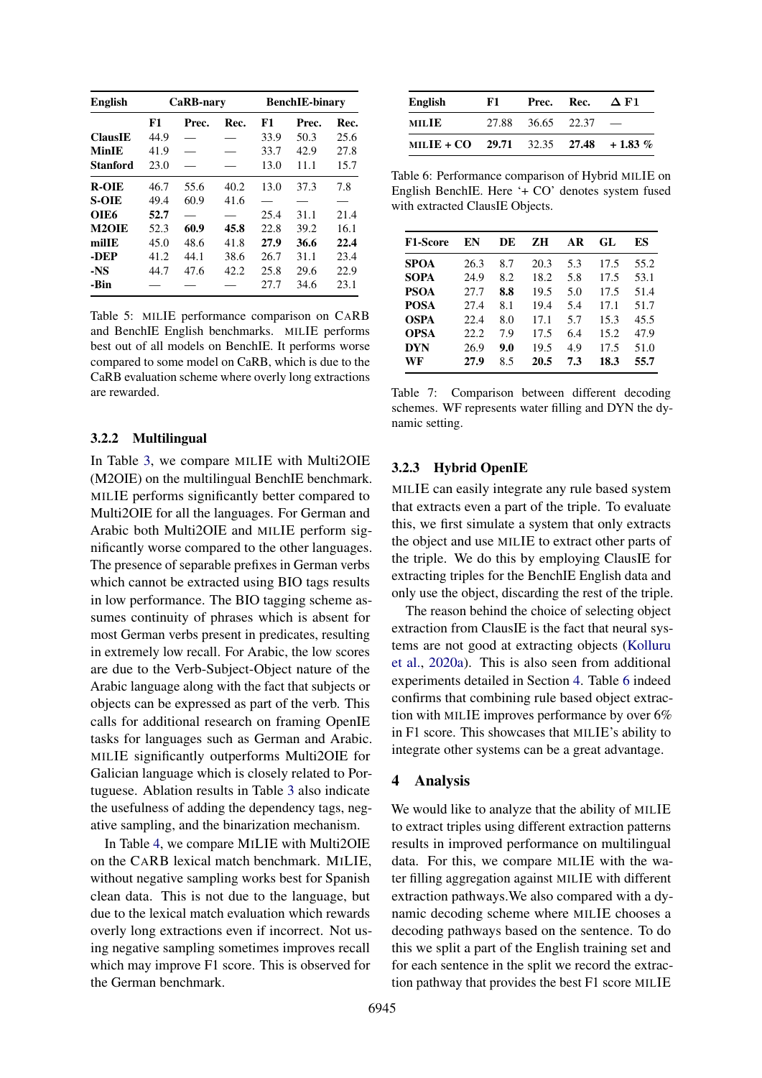<span id="page-6-0"></span>

| <b>English</b>     |      | CaRB-nary |      | <b>BenchIE-binary</b> |       |      |
|--------------------|------|-----------|------|-----------------------|-------|------|
|                    | F1   | Prec.     | Rec. | F1                    | Prec. | Rec. |
| <b>ClausIE</b>     | 44.9 |           |      | 33.9                  | 50.3  | 25.6 |
| MinIE              | 41.9 |           |      | 33.7                  | 42.9  | 27.8 |
| <b>Stanford</b>    | 23.0 |           |      | 13.0                  | 11.1  | 15.7 |
| <b>R-OIE</b>       | 46.7 | 55.6      | 40.2 | 13.0                  | 37.3  | 7.8  |
| <b>S-OIE</b>       | 49.4 | 60.9      | 41.6 |                       |       |      |
| OIE6               | 52.7 |           |      | 25.4                  | 31.1  | 21.4 |
| M <sub>2</sub> OIE | 52.3 | 60.9      | 45.8 | 22.8                  | 39.2  | 16.1 |
| milIE              | 45.0 | 48.6      | 41.8 | 27.9                  | 36.6  | 22.4 |
| -DEP               | 41.2 | 44.1      | 38.6 | 26.7                  | 31.1  | 23.4 |
| $-NS$              | 44.7 | 47.6      | 42.2 | 25.8                  | 29.6  | 22.9 |
| -Bin               |      |           |      | 27.7                  | 34.6  | 23.1 |

Table 5: MILIE performance comparison on CARB and BenchIE English benchmarks. MILIE performs best out of all models on BenchIE. It performs worse compared to some model on CaRB, which is due to the CaRB evaluation scheme where overly long extractions are rewarded.

#### 3.2.2 Multilingual

In Table [3,](#page-5-0) we compare MILIE with Multi2OIE (M2OIE) on the multilingual BenchIE benchmark. MILIE performs significantly better compared to Multi2OIE for all the languages. For German and Arabic both Multi2OIE and MILIE perform significantly worse compared to the other languages. The presence of separable prefixes in German verbs which cannot be extracted using BIO tags results in low performance. The BIO tagging scheme assumes continuity of phrases which is absent for most German verbs present in predicates, resulting in extremely low recall. For Arabic, the low scores are due to the Verb-Subject-Object nature of the Arabic language along with the fact that subjects or objects can be expressed as part of the verb. This calls for additional research on framing OpenIE tasks for languages such as German and Arabic. MILIE significantly outperforms Multi2OIE for Galician language which is closely related to Portuguese. Ablation results in Table [3](#page-5-0) also indicate the usefulness of adding the dependency tags, negative sampling, and the binarization mechanism.

In Table [4,](#page-5-1) we compare MILIE with Multi2OIE on the CARB lexical match benchmark. MILIE, without negative sampling works best for Spanish clean data. This is not due to the language, but due to the lexical match evaluation which rewards overly long extractions even if incorrect. Not using negative sampling sometimes improves recall which may improve F1 score. This is observed for the German benchmark.

<span id="page-6-2"></span>

| English                               | F1. |                   | Prec. Rec. | $\Delta$ F1 |
|---------------------------------------|-----|-------------------|------------|-------------|
| MILIE                                 |     | 27.88 36.65 22.37 |            |             |
| MILIE + CO 29.71 32.35 27.48 + 1.83 % |     |                   |            |             |

Table 6: Performance comparison of Hybrid MILIE on English BenchIE. Here '+ CO' denotes system fused with extracted ClausIE Objects.

<span id="page-6-3"></span>

| <b>F1-Score</b> | EN   | DE  | zн   | AR  | GL   | ES   |
|-----------------|------|-----|------|-----|------|------|
| <b>SPOA</b>     | 26.3 | 8.7 | 20.3 | 5.3 | 17.5 | 55.2 |
| <b>SOPA</b>     | 24.9 | 8.2 | 18.2 | 5.8 | 17.5 | 53.1 |
| <b>PSOA</b>     | 27.7 | 8.8 | 19.5 | 5.0 | 17.5 | 51.4 |
| <b>POSA</b>     | 27.4 | 8.1 | 19.4 | 5.4 | 17.1 | 51.7 |
| <b>OSPA</b>     | 22.4 | 8.0 | 17.1 | 5.7 | 15.3 | 45.5 |
| <b>OPSA</b>     | 22.2 | 7.9 | 17.5 | 6.4 | 15.2 | 47.9 |
| <b>DYN</b>      | 26.9 | 9.0 | 19.5 | 4.9 | 17.5 | 51.0 |
| WF              | 27.9 | 8.5 | 20.5 | 7.3 | 18.3 | 55.7 |

Table 7: Comparison between different decoding schemes. WF represents water filling and DYN the dynamic setting.

## 3.2.3 Hybrid OpenIE

MILIE can easily integrate any rule based system that extracts even a part of the triple. To evaluate this, we first simulate a system that only extracts the object and use MILIE to extract other parts of the triple. We do this by employing ClausIE for extracting triples for the BenchIE English data and only use the object, discarding the rest of the triple.

The reason behind the choice of selecting object extraction from ClausIE is the fact that neural systems are not good at extracting objects [\(Kolluru](#page-8-6) [et al.,](#page-8-6) [2020a\)](#page-8-6). This is also seen from additional experiments detailed in Section [4.](#page-6-1) Table [6](#page-6-2) indeed confirms that combining rule based object extraction with MILIE improves performance by over 6% in F1 score. This showcases that MILIE's ability to integrate other systems can be a great advantage.

## <span id="page-6-1"></span>4 Analysis

We would like to analyze that the ability of MILIE to extract triples using different extraction patterns results in improved performance on multilingual data. For this, we compare MILIE with the water filling aggregation against MILIE with different extraction pathways.We also compared with a dynamic decoding scheme where MILIE chooses a decoding pathways based on the sentence. To do this we split a part of the English training set and for each sentence in the split we record the extraction pathway that provides the best F1 score MILIE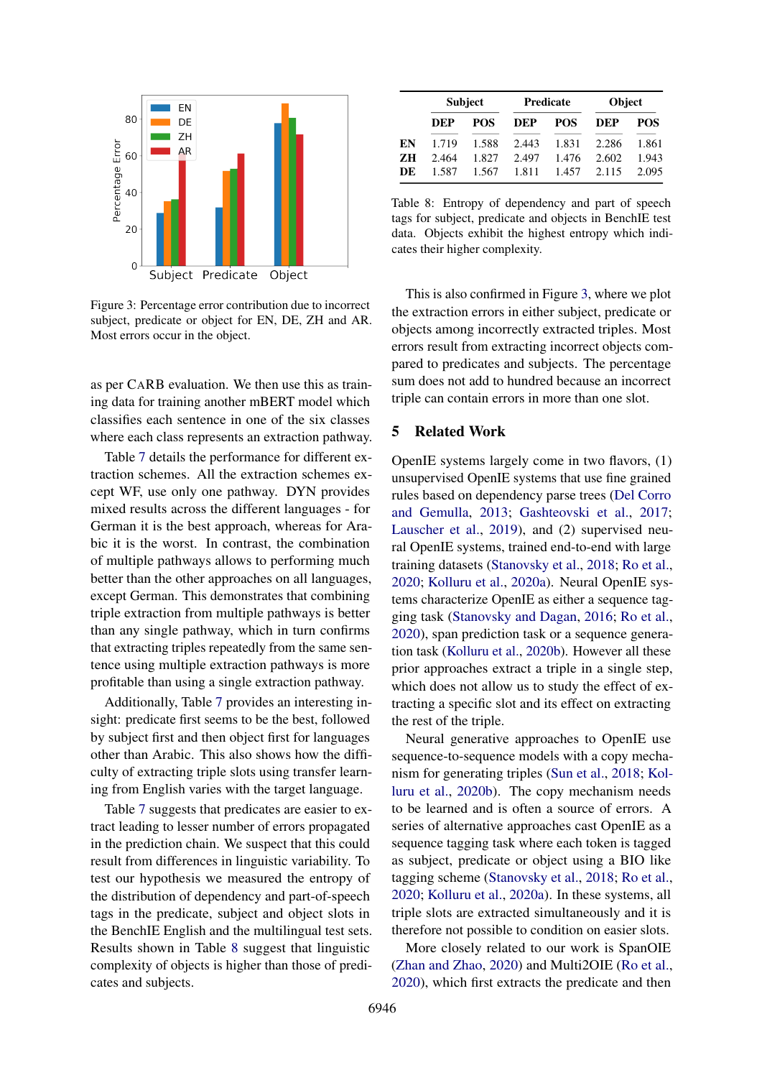<span id="page-7-1"></span>

Figure 3: Percentage error contribution due to incorrect subject, predicate or object for EN, DE, ZH and AR. Most errors occur in the object.

as per CARB evaluation. We then use this as training data for training another mBERT model which classifies each sentence in one of the six classes where each class represents an extraction pathway.

Table [7](#page-6-3) details the performance for different extraction schemes. All the extraction schemes except WF, use only one pathway. DYN provides mixed results across the different languages - for German it is the best approach, whereas for Arabic it is the worst. In contrast, the combination of multiple pathways allows to performing much better than the other approaches on all languages, except German. This demonstrates that combining triple extraction from multiple pathways is better than any single pathway, which in turn confirms that extracting triples repeatedly from the same sentence using multiple extraction pathways is more profitable than using a single extraction pathway.

Additionally, Table [7](#page-6-3) provides an interesting insight: predicate first seems to be the best, followed by subject first and then object first for languages other than Arabic. This also shows how the difficulty of extracting triple slots using transfer learning from English varies with the target language.

Table [7](#page-6-3) suggests that predicates are easier to extract leading to lesser number of errors propagated in the prediction chain. We suspect that this could result from differences in linguistic variability. To test our hypothesis we measured the entropy of the distribution of dependency and part-of-speech tags in the predicate, subject and object slots in the BenchIE English and the multilingual test sets. Results shown in Table [8](#page-7-0) suggest that linguistic complexity of objects is higher than those of predicates and subjects.

<span id="page-7-0"></span>

|    | <b>Subject</b> |       |            | <b>Predicate</b> | Object            |       |  |
|----|----------------|-------|------------|------------------|-------------------|-------|--|
|    | DEP            | POS.  | <b>DEP</b> | <b>POS</b>       | <b>DEP</b>        | POS.  |  |
| EN | 1.719          | 1.588 | 2.443      | 1.831            | 2.286             | 1.861 |  |
| ZН | 2.464          | 1.827 | 2.497      | 1.476            | 2.602             | 1.943 |  |
| DE | 1.587          | 1.567 | 1.811      |                  | 1.457 2.115 2.095 |       |  |

Table 8: Entropy of dependency and part of speech tags for subject, predicate and objects in BenchIE test data. Objects exhibit the highest entropy which indicates their higher complexity.

This is also confirmed in Figure [3,](#page-7-1) where we plot the extraction errors in either subject, predicate or objects among incorrectly extracted triples. Most errors result from extracting incorrect objects compared to predicates and subjects. The percentage sum does not add to hundred because an incorrect triple can contain errors in more than one slot.

## 5 Related Work

OpenIE systems largely come in two flavors, (1) unsupervised OpenIE systems that use fine grained rules based on dependency parse trees [\(Del Corro](#page-8-3) [and Gemulla,](#page-8-3) [2013;](#page-8-3) [Gashteovski et al.,](#page-8-4) [2017;](#page-8-4) [Lauscher et al.,](#page-9-9) [2019\)](#page-9-9), and (2) supervised neural OpenIE systems, trained end-to-end with large training datasets [\(Stanovsky et al.,](#page-9-7) [2018;](#page-9-7) [Ro et al.,](#page-9-6) [2020;](#page-9-6) [Kolluru et al.,](#page-8-6) [2020a\)](#page-8-6). Neural OpenIE systems characterize OpenIE as either a sequence tagging task [\(Stanovsky and Dagan,](#page-9-10) [2016;](#page-9-10) [Ro et al.,](#page-9-6) [2020\)](#page-9-6), span prediction task or a sequence generation task [\(Kolluru et al.,](#page-9-11) [2020b\)](#page-9-11). However all these prior approaches extract a triple in a single step, which does not allow us to study the effect of extracting a specific slot and its effect on extracting the rest of the triple.

Neural generative approaches to OpenIE use sequence-to-sequence models with a copy mechanism for generating triples [\(Sun et al.,](#page-9-12) [2018;](#page-9-12) [Kol](#page-9-11)[luru et al.,](#page-9-11) [2020b\)](#page-9-11). The copy mechanism needs to be learned and is often a source of errors. A series of alternative approaches cast OpenIE as a sequence tagging task where each token is tagged as subject, predicate or object using a BIO like tagging scheme [\(Stanovsky et al.,](#page-9-7) [2018;](#page-9-7) [Ro et al.,](#page-9-6) [2020;](#page-9-6) [Kolluru et al.,](#page-8-6) [2020a\)](#page-8-6). In these systems, all triple slots are extracted simultaneously and it is therefore not possible to condition on easier slots.

More closely related to our work is SpanOIE [\(Zhan and Zhao,](#page-9-8) [2020\)](#page-9-8) and Multi2OIE [\(Ro et al.,](#page-9-6) [2020\)](#page-9-6), which first extracts the predicate and then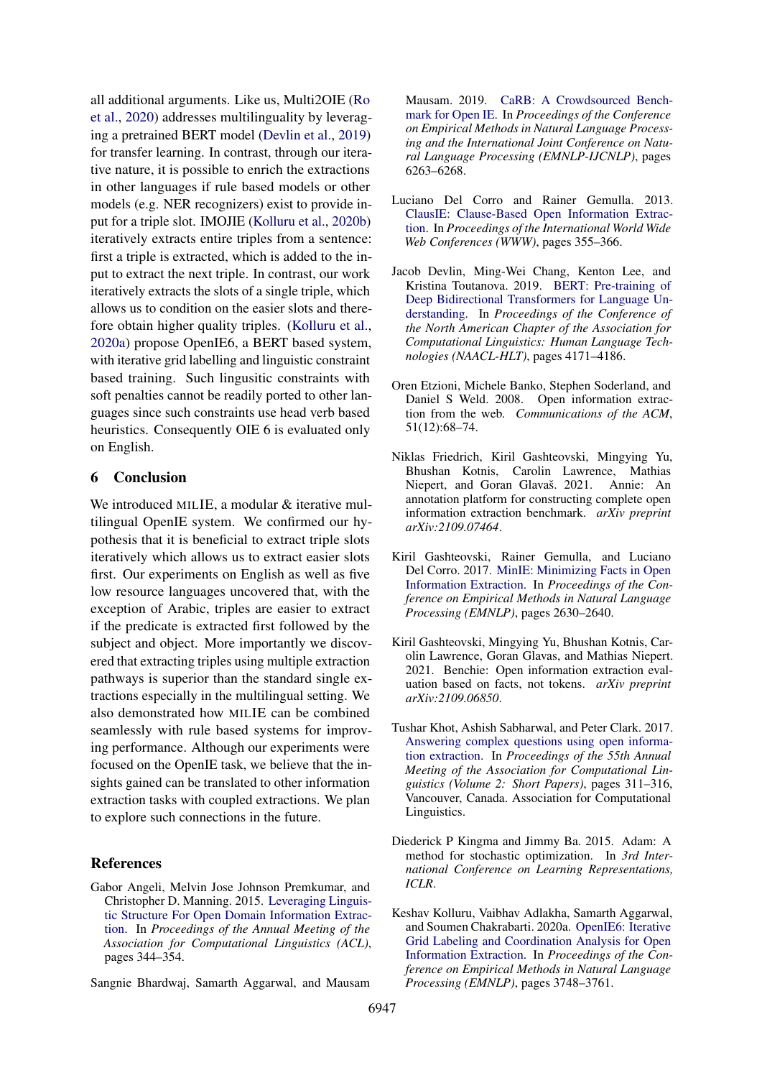all additional arguments. Like us, Multi2OIE [\(Ro](#page-9-6) [et al.,](#page-9-6) [2020\)](#page-9-6) addresses multilinguality by leveraging a pretrained BERT model [\(Devlin et al.,](#page-8-2) [2019\)](#page-8-2) for transfer learning. In contrast, through our iterative nature, it is possible to enrich the extractions in other languages if rule based models or other models (e.g. NER recognizers) exist to provide input for a triple slot. IMOJIE [\(Kolluru et al.,](#page-9-11) [2020b\)](#page-9-11) iteratively extracts entire triples from a sentence: first a triple is extracted, which is added to the input to extract the next triple. In contrast, our work iteratively extracts the slots of a single triple, which allows us to condition on the easier slots and therefore obtain higher quality triples. [\(Kolluru et al.,](#page-8-6) [2020a\)](#page-8-6) propose OpenIE6, a BERT based system, with iterative grid labelling and linguistic constraint based training. Such lingusitic constraints with soft penalties cannot be readily ported to other languages since such constraints use head verb based heuristics. Consequently OIE 6 is evaluated only on English.

## 6 Conclusion

We introduced MILIE, a modular & iterative multilingual OpenIE system. We confirmed our hypothesis that it is beneficial to extract triple slots iteratively which allows us to extract easier slots first. Our experiments on English as well as five low resource languages uncovered that, with the exception of Arabic, triples are easier to extract if the predicate is extracted first followed by the subject and object. More importantly we discovered that extracting triples using multiple extraction pathways is superior than the standard single extractions especially in the multilingual setting. We also demonstrated how MILIE can be combined seamlessly with rule based systems for improving performance. Although our experiments were focused on the OpenIE task, we believe that the insights gained can be translated to other information extraction tasks with coupled extractions. We plan to explore such connections in the future.

# References

<span id="page-8-5"></span>Gabor Angeli, Melvin Jose Johnson Premkumar, and Christopher D. Manning. 2015. [Leveraging Linguis](https://aclanthology.org/P15-1034/)[tic Structure For Open Domain Information Extrac](https://aclanthology.org/P15-1034/)[tion.](https://aclanthology.org/P15-1034/) In *Proceedings of the Annual Meeting of the Association for Computational Linguistics (ACL)*, pages 344–354.

<span id="page-8-7"></span>Sangnie Bhardwaj, Samarth Aggarwal, and Mausam

Mausam. 2019. [CaRB: A Crowdsourced Bench](https://aclanthology.org/D19-1651/)[mark for Open IE.](https://aclanthology.org/D19-1651/) In *Proceedings of the Conference on Empirical Methods in Natural Language Processing and the International Joint Conference on Natural Language Processing (EMNLP-IJCNLP)*, pages 6263–6268.

- <span id="page-8-3"></span>Luciano Del Corro and Rainer Gemulla. 2013. [ClausIE: Clause-Based Open Information Extrac](https://dl.acm.org/doi/10.1145/2488388.2488420)[tion.](https://dl.acm.org/doi/10.1145/2488388.2488420) In *Proceedings of the International World Wide Web Conferences (WWW)*, pages 355–366.
- <span id="page-8-2"></span>Jacob Devlin, Ming-Wei Chang, Kenton Lee, and Kristina Toutanova. 2019. [BERT: Pre-training of](https://aclanthology.org/N19-1423/) [Deep Bidirectional Transformers for Language Un](https://aclanthology.org/N19-1423/)[derstanding.](https://aclanthology.org/N19-1423/) In *Proceedings of the Conference of the North American Chapter of the Association for Computational Linguistics: Human Language Technologies (NAACL-HLT)*, pages 4171–4186.
- <span id="page-8-0"></span>Oren Etzioni, Michele Banko, Stephen Soderland, and Daniel S Weld. 2008. Open information extraction from the web. *Communications of the ACM*, 51(12):68–74.
- <span id="page-8-9"></span>Niklas Friedrich, Kiril Gashteovski, Mingying Yu, Bhushan Kotnis, Carolin Lawrence, Mathias Niepert, and Goran Glavaš. 2021. Annie: An annotation platform for constructing complete open information extraction benchmark. *arXiv preprint arXiv:2109.07464*.
- <span id="page-8-4"></span>Kiril Gashteovski, Rainer Gemulla, and Luciano Del Corro. 2017. [MinIE: Minimizing Facts in Open](https://aclanthology.org/D17-1278/) [Information Extraction.](https://aclanthology.org/D17-1278/) In *Proceedings of the Conference on Empirical Methods in Natural Language Processing (EMNLP)*, pages 2630–2640.
- <span id="page-8-8"></span>Kiril Gashteovski, Mingying Yu, Bhushan Kotnis, Carolin Lawrence, Goran Glavas, and Mathias Niepert. 2021. Benchie: Open information extraction evaluation based on facts, not tokens. *arXiv preprint arXiv:2109.06850*.
- <span id="page-8-1"></span>Tushar Khot, Ashish Sabharwal, and Peter Clark. 2017. [Answering complex questions using open informa](https://doi.org/10.18653/v1/P17-2049)[tion extraction.](https://doi.org/10.18653/v1/P17-2049) In *Proceedings of the 55th Annual Meeting of the Association for Computational Linguistics (Volume 2: Short Papers)*, pages 311–316, Vancouver, Canada. Association for Computational Linguistics.
- <span id="page-8-10"></span>Diederick P Kingma and Jimmy Ba. 2015. Adam: A method for stochastic optimization. In *3rd International Conference on Learning Representations, ICLR*.
- <span id="page-8-6"></span>Keshav Kolluru, Vaibhav Adlakha, Samarth Aggarwal, and Soumen Chakrabarti. 2020a. [OpenIE6: Iterative](https://aclanthology.org/2020.emnlp-main.306/) [Grid Labeling and Coordination Analysis for Open](https://aclanthology.org/2020.emnlp-main.306/) [Information Extraction.](https://aclanthology.org/2020.emnlp-main.306/) In *Proceedings of the Conference on Empirical Methods in Natural Language Processing (EMNLP)*, pages 3748–3761.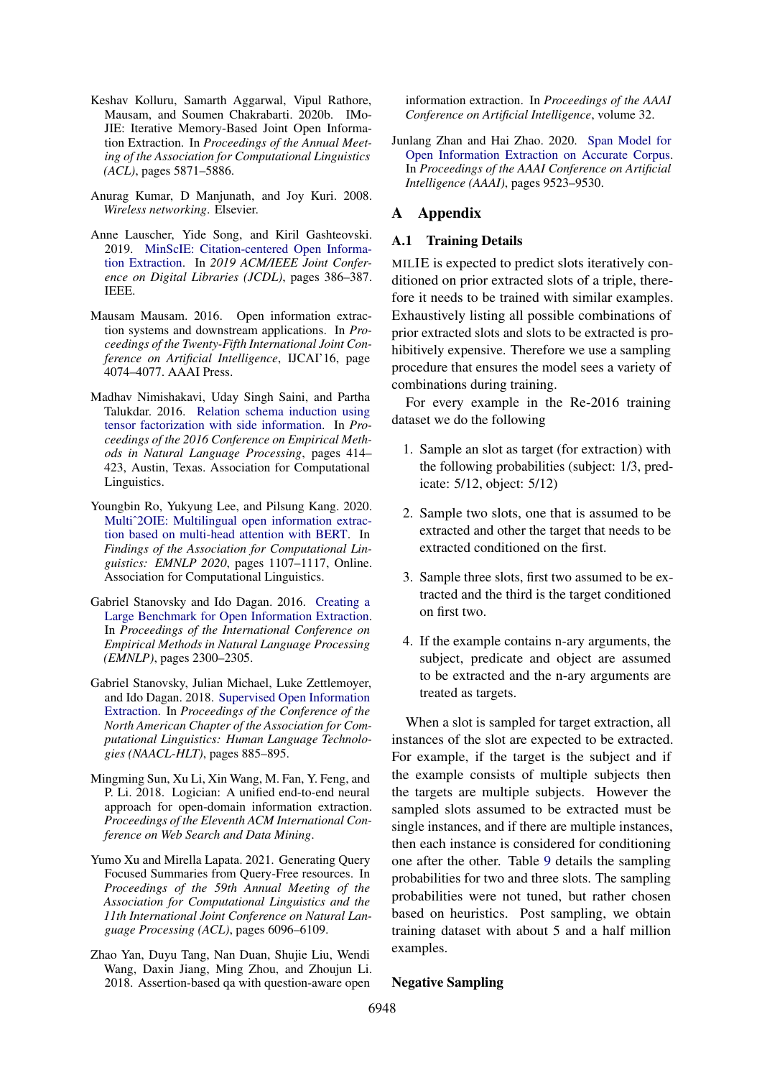- <span id="page-9-11"></span>Keshav Kolluru, Samarth Aggarwal, Vipul Rathore, Mausam, and Soumen Chakrabarti. 2020b. IMo-JIE: Iterative Memory-Based Joint Open Information Extraction. In *Proceedings of the Annual Meeting of the Association for Computational Linguistics (ACL)*, pages 5871–5886.
- <span id="page-9-4"></span>Anurag Kumar, D Manjunath, and Joy Kuri. 2008. *Wireless networking*. Elsevier.
- <span id="page-9-9"></span>Anne Lauscher, Yide Song, and Kiril Gashteovski. 2019. [MinScIE: Citation-centered Open Informa](https://ieeexplore.ieee.org/abstract/document/8791192)[tion Extraction.](https://ieeexplore.ieee.org/abstract/document/8791192) In *2019 ACM/IEEE Joint Conference on Digital Libraries (JCDL)*, pages 386–387. IEEE.
- <span id="page-9-0"></span>Mausam Mausam. 2016. Open information extraction systems and downstream applications. In *Proceedings of the Twenty-Fifth International Joint Conference on Artificial Intelligence*, IJCAI'16, page 4074–4077. AAAI Press.
- <span id="page-9-3"></span>Madhav Nimishakavi, Uday Singh Saini, and Partha Talukdar. 2016. [Relation schema induction using](https://doi.org/10.18653/v1/D16-1040) [tensor factorization with side information.](https://doi.org/10.18653/v1/D16-1040) In *Proceedings of the 2016 Conference on Empirical Methods in Natural Language Processing*, pages 414– 423, Austin, Texas. Association for Computational Linguistics.
- <span id="page-9-6"></span>Youngbin Ro, Yukyung Lee, and Pilsung Kang. 2020. [Multiˆ2OIE: Multilingual open information extrac](https://aclanthology.org/2020.findings-emnlp.99/)[tion based on multi-head attention with BERT.](https://aclanthology.org/2020.findings-emnlp.99/) In *Findings of the Association for Computational Linguistics: EMNLP 2020*, pages 1107–1117, Online. Association for Computational Linguistics.
- <span id="page-9-10"></span>Gabriel Stanovsky and Ido Dagan. 2016. [Creating a](https://aclanthology.org/D16-1252/) [Large Benchmark for Open Information Extraction.](https://aclanthology.org/D16-1252/) In *Proceedings of the International Conference on Empirical Methods in Natural Language Processing (EMNLP)*, pages 2300–2305.
- <span id="page-9-7"></span>Gabriel Stanovsky, Julian Michael, Luke Zettlemoyer, and Ido Dagan. 2018. [Supervised Open Information](https://aclanthology.org/N18-1081/) [Extraction.](https://aclanthology.org/N18-1081/) In *Proceedings of the Conference of the North American Chapter of the Association for Computational Linguistics: Human Language Technologies (NAACL-HLT)*, pages 885–895.
- <span id="page-9-12"></span>Mingming Sun, Xu Li, Xin Wang, M. Fan, Y. Feng, and P. Li. 2018. Logician: A unified end-to-end neural approach for open-domain information extraction. *Proceedings of the Eleventh ACM International Conference on Web Search and Data Mining*.
- <span id="page-9-1"></span>Yumo Xu and Mirella Lapata. 2021. Generating Query Focused Summaries from Query-Free resources. In *Proceedings of the 59th Annual Meeting of the Association for Computational Linguistics and the 11th International Joint Conference on Natural Language Processing (ACL)*, pages 6096–6109.
- <span id="page-9-2"></span>Zhao Yan, Duyu Tang, Nan Duan, Shujie Liu, Wendi Wang, Daxin Jiang, Ming Zhou, and Zhoujun Li. 2018. Assertion-based qa with question-aware open

information extraction. In *Proceedings of the AAAI Conference on Artificial Intelligence*, volume 32.

<span id="page-9-8"></span>Junlang Zhan and Hai Zhao. 2020. [Span Model for](https://arxiv.org/abs/1901.10879) [Open Information Extraction on Accurate Corpus.](https://arxiv.org/abs/1901.10879) In *Proceedings of the AAAI Conference on Artificial Intelligence (AAAI)*, pages 9523–9530.

## <span id="page-9-5"></span>A Appendix

#### A.1 Training Details

MILIE is expected to predict slots iteratively conditioned on prior extracted slots of a triple, therefore it needs to be trained with similar examples. Exhaustively listing all possible combinations of prior extracted slots and slots to be extracted is prohibitively expensive. Therefore we use a sampling procedure that ensures the model sees a variety of combinations during training.

For every example in the Re-2016 training dataset we do the following

- 1. Sample an slot as target (for extraction) with the following probabilities (subject: 1/3, predicate: 5/12, object: 5/12)
- 2. Sample two slots, one that is assumed to be extracted and other the target that needs to be extracted conditioned on the first.
- 3. Sample three slots, first two assumed to be extracted and the third is the target conditioned on first two.
- 4. If the example contains n-ary arguments, the subject, predicate and object are assumed to be extracted and the n-ary arguments are treated as targets.

When a slot is sampled for target extraction, all instances of the slot are expected to be extracted. For example, if the target is the subject and if the example consists of multiple subjects then the targets are multiple subjects. However the sampled slots assumed to be extracted must be single instances, and if there are multiple instances, then each instance is considered for conditioning one after the other. Table [9](#page-10-0) details the sampling probabilities for two and three slots. The sampling probabilities were not tuned, but rather chosen based on heuristics. Post sampling, we obtain training dataset with about 5 and a half million examples.

#### Negative Sampling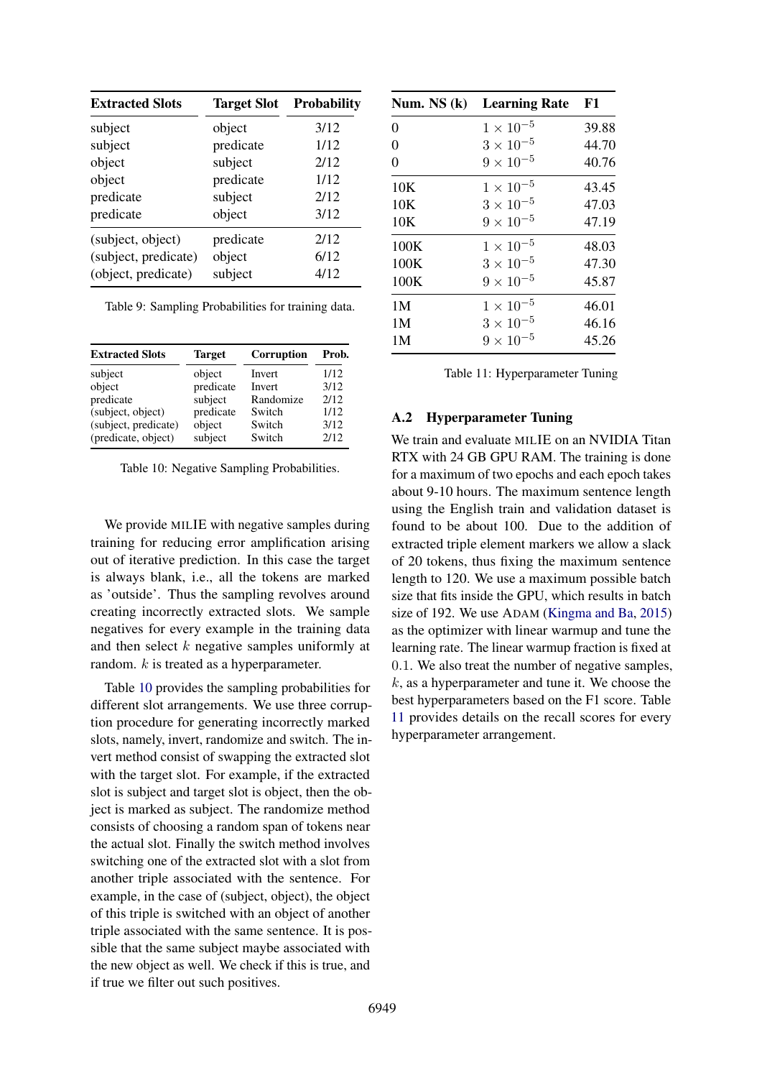<span id="page-10-0"></span>

| <b>Extracted Slots</b> | <b>Target Slot</b> | <b>Probability</b> |
|------------------------|--------------------|--------------------|
| subject                | object             | 3/12               |
| subject                | predicate          | 1/12               |
| object                 | subject            | 2/12               |
| object                 | predicate          | 1/12               |
| predicate              | subject            | 2/12               |
| predicate              | object             | 3/12               |
| (subject, object)      | predicate          | 2/12               |
| (subject, predicate)   | object             | 6/12               |
| (object, predicate)    | subject            | 4/12               |

Table 9: Sampling Probabilities for training data.

<span id="page-10-1"></span>

| <b>Target</b> | <b>Corruption</b> | Prob. |
|---------------|-------------------|-------|
| object        | Invert            | 1/12  |
|               | <b>Invert</b>     | 3/12  |
| subject       | Randomize         | 2/12  |
| predicate     | Switch            | 1/12  |
| object        | Switch            | 3/12  |
| subject       | Switch            | 2/12  |
|               | predicate         |       |

Table 10: Negative Sampling Probabilities.

We provide MILIE with negative samples during training for reducing error amplification arising out of iterative prediction. In this case the target is always blank, i.e., all the tokens are marked as 'outside'. Thus the sampling revolves around creating incorrectly extracted slots. We sample negatives for every example in the training data and then select k negative samples uniformly at random.  $k$  is treated as a hyperparameter.

Table [10](#page-10-1) provides the sampling probabilities for different slot arrangements. We use three corruption procedure for generating incorrectly marked slots, namely, invert, randomize and switch. The invert method consist of swapping the extracted slot with the target slot. For example, if the extracted slot is subject and target slot is object, then the object is marked as subject. The randomize method consists of choosing a random span of tokens near the actual slot. Finally the switch method involves switching one of the extracted slot with a slot from another triple associated with the sentence. For example, in the case of (subject, object), the object of this triple is switched with an object of another triple associated with the same sentence. It is possible that the same subject maybe associated with the new object as well. We check if this is true, and if true we filter out such positives.

<span id="page-10-2"></span>

| Num. NS (k)    | <b>Learning Rate</b> | F1    |
|----------------|----------------------|-------|
| $\overline{0}$ | $1 \times 10^{-5}$   | 39.88 |
| $\overline{0}$ | $3 \times 10^{-5}$   | 44.70 |
| $\overline{0}$ | $9 \times 10^{-5}$   | 40.76 |
| 10K            | $1 \times 10^{-5}$   | 43.45 |
| 10K            | $3 \times 10^{-5}$   | 47.03 |
| 10K            | $9 \times 10^{-5}$   | 47.19 |
| 100K           | $1 \times 10^{-5}$   | 48.03 |
| 100K           | $3 \times 10^{-5}$   | 47.30 |
| 100K           | $9 \times 10^{-5}$   | 45.87 |
| 1M             | $1 \times 10^{-5}$   | 46.01 |
| 1M             | $3 \times 10^{-5}$   | 46.16 |
| 1M             | $9 \times 10^{-5}$   | 45.26 |

## A.2 Hyperparameter Tuning

We train and evaluate MILIE on an NVIDIA Titan RTX with 24 GB GPU RAM. The training is done for a maximum of two epochs and each epoch takes about 9-10 hours. The maximum sentence length using the English train and validation dataset is found to be about 100. Due to the addition of extracted triple element markers we allow a slack of 20 tokens, thus fixing the maximum sentence length to 120. We use a maximum possible batch size that fits inside the GPU, which results in batch size of 192. We use ADAM [\(Kingma and Ba,](#page-8-10) [2015\)](#page-8-10) as the optimizer with linear warmup and tune the learning rate. The linear warmup fraction is fixed at 0.1. We also treat the number of negative samples,  $k$ , as a hyperparameter and tune it. We choose the best hyperparameters based on the F1 score. Table [11](#page-10-2) provides details on the recall scores for every hyperparameter arrangement.